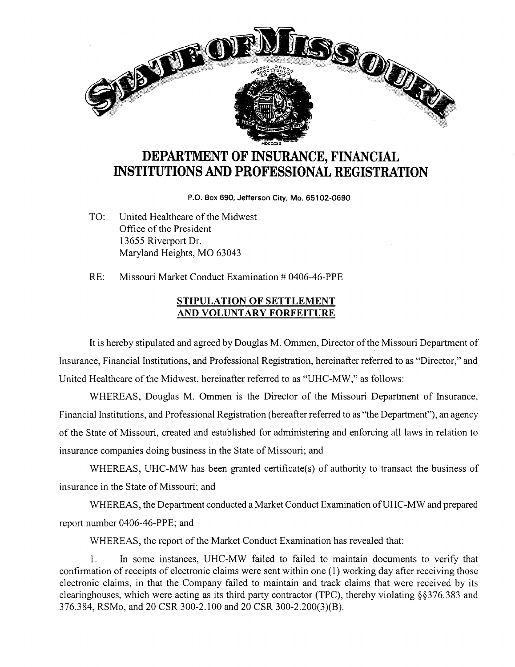

## **DEPARTMENT OF INSURANCE, FINANCIAL INSTITUTIONS AND PROFESSIONAL REGISTRATION**

**P.O. Box 690, Jefferson City, Mo. 65102-0690** 

TO: United Healthcare of the Midwest Office of the President 13655 Riverport Dr. Maryland Heights, MO 63043

RE: Missouri Market Conduct Examination # 0406-46-PPE

## **STIPULATION OF SETTLEMENT AND VOLUNTARY FORFEITURE**

It is hereby stipulated and agreed by Douglas M. Ommen, Director of the Missouri Department of Insurance, Financial Institutions, and Professional Registration, hereinafter referred to as "Director," and United Healthcare of the Midwest, hereinafter referred to as "UHC-MW," as follows:

WHEREAS, Douglas M. Ommen is the Director of the Missouri Department of Insurance, Financial Institutions, and Professional Registration (hereafter referred to as "the Department"), an agency of the State of Missouri, created and established for administering and enforcing all laws in relation to insurance companies doing business in the State of Missouri; and

WHEREAS, UHC-MW has been granted certificate(s) of authority to transact the business of insurance in the State of Missouri; and

WHEREAS, the Department conducted a Market Conduct Examination ofUHC-MW and prepared report number 0406-46-PPE; and

WHEREAS, the report of the Market Conduct Examination has revealed that:

1. In some instances, UHC-MW failed to failed to maintain documents to verify that confirmation of receipts of electronic claims were sent within one (1) working day after receiving those electronic claims, in that the Company failed to maintain and track claims that were received by its clearinghouses, which were acting as its third party contractor (TPC), thereby violating §§376.383 and 376.384, RSMo, and 20 CSR 300-2.100 and 20 CSR 300-2.200(3)(B).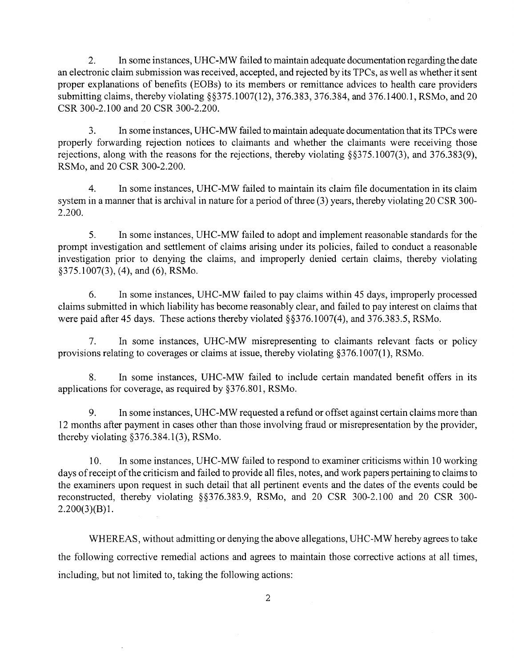2. In some instances, UHC-MW failed to maintain adequate documentation regarding the date an electronic claim submission was received, accepted, and rejected by its TPCs, as well as whether it sent proper explanations of benefits (EOBs) to its members or remittance advices to health care providers submitting claims, thereby violating §§375.1007(12), 376.383, 376.384, and 376.1400.1, RSMo, and 20 CSR 300-2.100 and 20 CSR 300-2.200.

3. In some instances, UHC-MW failed to maintain adequate documentation that its TPCs were properly forwarding rejection notices to claimants and whether the claimants were receiving those rejections, along with the reasons for the rejections, thereby violating §§375.1007(3), and 376.383(9), RSMo, and 20 CSR 300-2.200.

4. In some instances, UHC-MW failed to maintain its claim file documentation in its claim system in a manner that is archival in nature for a period of three (3) years, thereby violating 20 CSR 300-2.200.

5. In some instances, UHC-MW failed to adopt and implement reasonable standards for the prompt investigation and settlement of claims arising under its policies, failed to conduct a reasonable investigation prior to denying the claims, and improperly denied certain claims, thereby violating §375.1007(3), (4), and (6), RSMo.

6. In some instances, UHC-MW failed to pay claims within 45 days, improperly processed claims submitted in which liability has become reasonably clear, and failed to pay interest on claims that were paid after 45 days. These actions thereby violated §§376.1007(4), and 376.383.5, RSMo.

7. In some instances, UHC-MW misrepresenting to claimants relevant facts or policy provisions relating to coverages or claims at issue, thereby violating §376.1007(1 ), RSMo.

8. In some instances, UHC-MW failed to include certain mandated benefit offers in its applications for coverage, as required by §376.801, RSMo.

9. In some instances, UHC-MW requested a refund or offset against certain claims more than 12 months after payment in cases other than those involving fraud or misrepresentation by the provider, thereby violating  $§376.384.1(3)$ , RSMo.

10. In some instances, UHC-MW failed to respond to examiner criticisms within 10 working days of receipt of the criticism and failed to provide all files, notes, and work papers pertaining to claims to the examiners upon request in such detail that all pertinent events and the dates of the events could be reconstructed, thereby violating §§376.383.9, RSMo, and 20 CSR 300-2.100 and 20 CSR 300-  $2.200(3)(B)1$ .

WHEREAS, without admitting or denying the above allegations, UHC-MW hereby agrees to take the following corrective remedial actions and agrees to maintain those corrective actions at all times, including, but not limited to, taking the following actions: